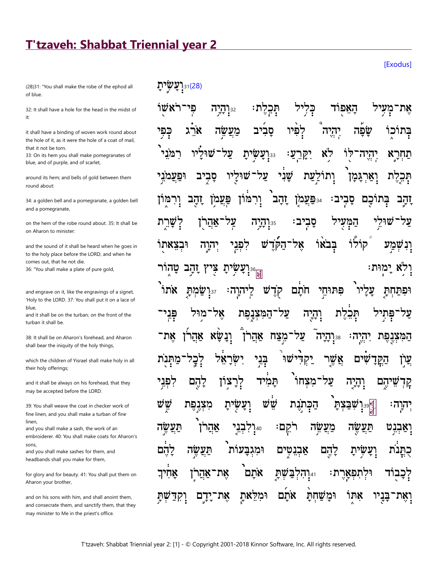## T'tzaveh: Shabbat Triennial year 2

(28)31: "You shall make the robe of the ephod all of blue.

32: It shall have a hole for the head in the midst of it

it shall have a binding of woven work round about the hole of it, as it were the hole of a coat of mail. that it not be torn

33: On its hem you shall make pomegranates of blue, and of purple, and of scarlet,

around its hem; and bells of gold between them round about:

34: a golden bell and a pomegranate, a golden bell and a pomegranate,

on the hem of the robe round about 35; It shall be on Aharon to minister

and the sound of it shall be heard when he goes in to the holy place before the LORD, and when he comes out, that he not die. 36: "You shall make a plate of pure gold,

and engrave on it, like the engravings of a signet, 'Holy to the LORD. 37: You shall put it on a lace of blue,

and it shall be on the turban; on the front of the turban it shall be.

38: It shall be on Aharon's forehead, and Aharon shall bear the iniquity of the holy things,

which the children of Yisrael shall make holy in all their holy offerings;

and it shall be always on his forehead, that they may be accepted before the LORD.

39: You shall weave the coat in checker work of fine linen, and you shall make a turban of fine linen.

and you shall make a sash, the work of an embroiderer, 40: You shall make coats for Aharon's sons

and you shall make sashes for them, and headbands shall you make for them,

for glory and for beauty. 41: You shall put them on Aharon your brother,

and on his sons with him, and shall anoint them. and consecrate them, and sanctify them, that they may minister to Me in the priest's office.

וּיָנ**ְעֲשִׂיתָ**]

האפוד ראשו הי 32:**והיה** את יהיה שפה ארג בתוכו כפי מַעֲשֶׁה יִי**ַעֲשִׂיתַ** רמני שור לו לא יהיה :ע תחרא שׁני ותוֹלעת ופעמ סביב W על וארגמן תכלת וַרְמּוֹן פּ**ִפַּעֲמֹן זַהַבּ** זהב פעמן סביב: בתוכם זהב  $777$ :35 יבי סבי המעי שו אהרן קוֹלוֹ אל־הקד בבאו 'ڑ<u>ن</u> לפני ובצאתו יהוה יִּיְעָשִׂיתָ ולא ימוּת: טהור צי ץ זַהַב אתו :הוה חתם פתוחי מת קדש ופתחת l:37 <u>ֿהמִצְנַפּת</u> פני מוּל אל עד והיה תכלת פּחי על־מצח אהרן ונשא המצנפת אהרן יהיה: 17היה בְּנִי ישו שו יקד אשו שים עַרן הק מצחו תמיד על הם לפני להם צוז לך והיה ψv שׁש מצנפת ועשית הכתנת שבצת ∶הוה רקֵם תעשה אֲהֵר בני מעשה ֿוַאַבנט  $7:40$ שה תע להם תעשה וּמגבעות אַבנ להם טים ַיַעַ אתם אחי את־ שת  $771_{:41}$ תפארת: דכבוד אהרן את ומלאת ומשחת אתם אתו בניו וקד ידם ואת־

**[Exodus]**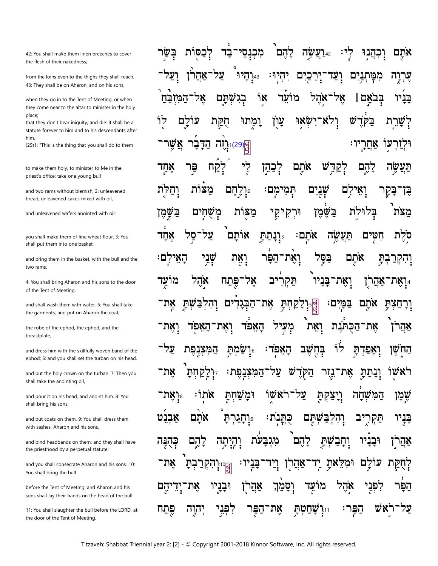42: You shall make them linen breeches to cover the flesh of their nakedness;

from the loins even to the thighs they shall reach. 43: They shall be on Aharon, and on his sons,

when they go in to the Tent of Meeting, or when they come near to the altar to minister in the holy place:

that they don't bear iniquity, and die: it shall be a statute forever to him and to his descendants after him.

(29)1: "This is the thing that you shall do to them

to make them holy, to minister to Me in the priest's office: take one young bull

and two rams without blemish 2; unleavened bread, unleavened cakes mixed with oil.

and unleavened wafers anointed with oil:

you shall make them of fine wheat flour. 3: You shall put them into one basket,

and bring them in the basket, with the bull and the two rams.

4: You shall bring Aharon and his sons to the door of the Tent of Meeting,

and shall wash them with water. 5: You shall take the garments, and put on Aharon the coat,

the robe of the ephod, the ephod, and the breastplate,

and dress him with the skillfully woven band of the ephod; 6: and you shall set the turban on his head,

and put the holy crown on the turban. 7: Then you shall take the anointing oil,

and pour it on his head, and anoint him. 8: You shall bring his sons,

and put coats on them. 9: You shall dress them with sashes. Aharon and his sons.

and bind headbands on them: and they shall have the priesthood by a perpetual statute:

and you shall consecrate Aharon and his sons. 10: You shall bring the bull

before the Tent of Meeting: and Aharon and his sons shall lay their hands on the head of the bull.

11: You shall slaughter the bull before the LORD, at the door of the Tent of Meeting.

לִכַּפּוֹת לֵהֶם מִכְנָסֵי רעשה ־בַד וכהנוּ אתם על יהיו אהרז <sub>43.</sub>תיה כֵים ם ממתני ערוה ועד אהל אל בגשתם ገጽ מועד אל בבאם ן בניו המזבח עַון ולא־ ש לו לם עו חקת ומתוּ ישאי בק שרת <mark>ម្ពី [129]</mark><br>អ្នក הַדָּבָר אַשֵׁו ין : אחר עו לִי אֹתָם דש פר להם לקח <u>קכַהן</u> תעשה אחד מצות וֵרְלְחַם תְּמִי שנים וחלת לם בַּקַר מם∶ בן־ מִשְׁחִים <u>ב</u>ּשַׁמֵן מצות קי? וּרִק בשמֵן בלוּלת מצת אותם אחד סל על אתם: תעשה חטים י**ּוֹנַתַתּ** סלת **וָאֶת־הַפַּר** שְׁנִי בסל ּהַאֵילִם ואֵת אתם <u>ֿױקקרבִת</u> אֹהֵל תַּקְרִיב וְאֵת־בַּנַיו מועד פתח אָל אַהַרן ן אַת ֿ שת אָת־הַבְּגַדִ את־ במים: אתם ם <u>לקחת</u> ורחצת והל מַעִיל ואת <u>ׁהַכְּ</u>תּנת ואת האפד ואת־ האפר את־ אהו על־ לוֹ בחשב מת האפד: ואפדת המצנפת החשן אֵת־נֵזִר את־ קחת המצנפת: הַקְדָ וֲנַתַּתַּ ראשו יִיאָת. אשו על אתו: ומשחת קת ױַצ שמו שחה המ כֻתְּנֹת:<br>. אבנט אתם תם תּקו פּ**ָרְהַגַרְהַ** והְרָ בניו מִגְבָעת לְהָם לְהֵם יְהָיְתָה שְתַ כהנה יִתְּבִי וּבניו אַהַרן <sub>וּ</sub>וְהִקְרַ $\frac{1}{\mathbb{R}^3}$ וּמִק את־ בְהַ בְנְיוּ: ֿאַהַרן אָתָ לם עו לְחָקַת לפני מועד אהל יהם אָת וּבַנַיו וַסַמַך הפו Τ. אַהַרן שָׁחַטְתָ הפר: יהוה קפִנִי את ראש פתח ־הפּר  $7:11$